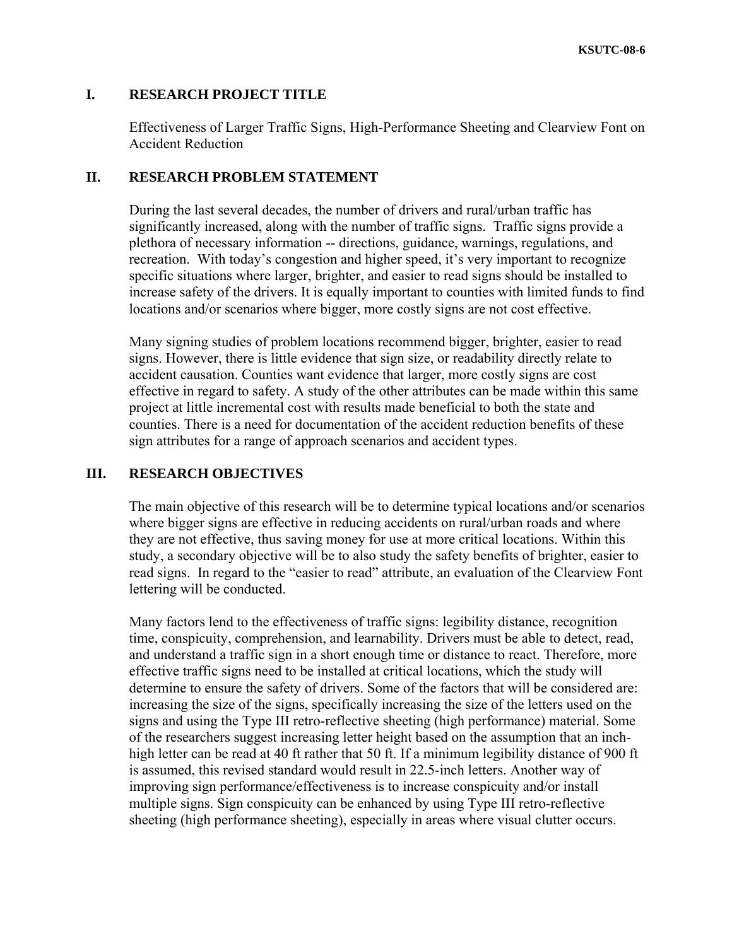## **I. RESEARCH PROJECT TITLE**

Effectiveness of Larger Traffic Signs, High-Performance Sheeting and Clearview Font on Accident Reduction

# **II. RESEARCH PROBLEM STATEMENT**

During the last several decades, the number of drivers and rural/urban traffic has significantly increased, along with the number of traffic signs. Traffic signs provide a plethora of necessary information -- directions, guidance, warnings, regulations, and recreation. With today's congestion and higher speed, it's very important to recognize specific situations where larger, brighter, and easier to read signs should be installed to increase safety of the drivers. It is equally important to counties with limited funds to find locations and/or scenarios where bigger, more costly signs are not cost effective.

Many signing studies of problem locations recommend bigger, brighter, easier to read signs. However, there is little evidence that sign size, or readability directly relate to accident causation. Counties want evidence that larger, more costly signs are cost effective in regard to safety. A study of the other attributes can be made within this same project at little incremental cost with results made beneficial to both the state and counties. There is a need for documentation of the accident reduction benefits of these sign attributes for a range of approach scenarios and accident types.

## **III. RESEARCH OBJECTIVES**

The main objective of this research will be to determine typical locations and/or scenarios where bigger signs are effective in reducing accidents on rural/urban roads and where they are not effective, thus saving money for use at more critical locations. Within this study, a secondary objective will be to also study the safety benefits of brighter, easier to read signs. In regard to the "easier to read" attribute, an evaluation of the Clearview Font lettering will be conducted.

Many factors lend to the effectiveness of traffic signs: legibility distance, recognition time, conspicuity, comprehension, and learnability. Drivers must be able to detect, read, and understand a traffic sign in a short enough time or distance to react. Therefore, more effective traffic signs need to be installed at critical locations, which the study will determine to ensure the safety of drivers. Some of the factors that will be considered are: increasing the size of the signs, specifically increasing the size of the letters used on the signs and using the Type III retro-reflective sheeting (high performance) material. Some of the researchers suggest increasing letter height based on the assumption that an inchhigh letter can be read at 40 ft rather that 50 ft. If a minimum legibility distance of 900 ft is assumed, this revised standard would result in 22.5-inch letters. Another way of improving sign performance/effectiveness is to increase conspicuity and/or install multiple signs. Sign conspicuity can be enhanced by using Type III retro-reflective sheeting (high performance sheeting), especially in areas where visual clutter occurs.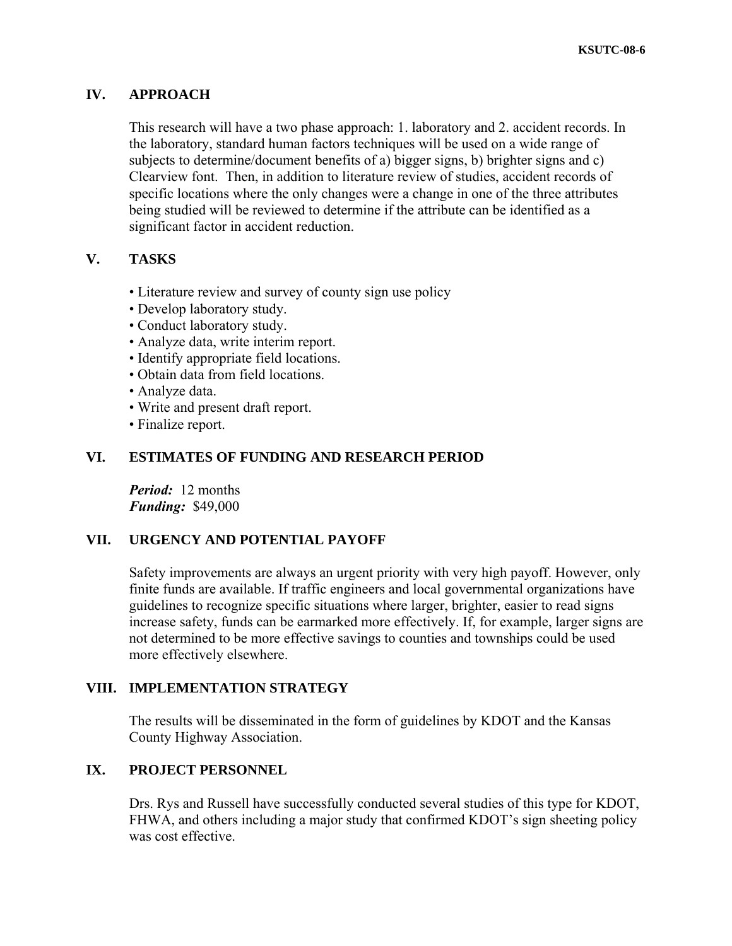# **IV. APPROACH**

This research will have a two phase approach: 1. laboratory and 2. accident records. In the laboratory, standard human factors techniques will be used on a wide range of subjects to determine/document benefits of a) bigger signs, b) brighter signs and c) Clearview font. Then, in addition to literature review of studies, accident records of specific locations where the only changes were a change in one of the three attributes being studied will be reviewed to determine if the attribute can be identified as a significant factor in accident reduction.

# **V. TASKS**

- Literature review and survey of county sign use policy
- Develop laboratory study.
- Conduct laboratory study.
- Analyze data, write interim report.
- Identify appropriate field locations.
- Obtain data from field locations.
- Analyze data.
- Write and present draft report.
- Finalize report.

#### **VI. ESTIMATES OF FUNDING AND RESEARCH PERIOD**

*Period:* 12 months *Funding:* \$49,000

## **VII. URGENCY AND POTENTIAL PAYOFF**

Safety improvements are always an urgent priority with very high payoff. However, only finite funds are available. If traffic engineers and local governmental organizations have guidelines to recognize specific situations where larger, brighter, easier to read signs increase safety, funds can be earmarked more effectively. If, for example, larger signs are not determined to be more effective savings to counties and townships could be used more effectively elsewhere.

#### **VIII. IMPLEMENTATION STRATEGY**

The results will be disseminated in the form of guidelines by KDOT and the Kansas County Highway Association.

### **IX. PROJECT PERSONNEL**

Drs. Rys and Russell have successfully conducted several studies of this type for KDOT, FHWA, and others including a major study that confirmed KDOT's sign sheeting policy was cost effective.